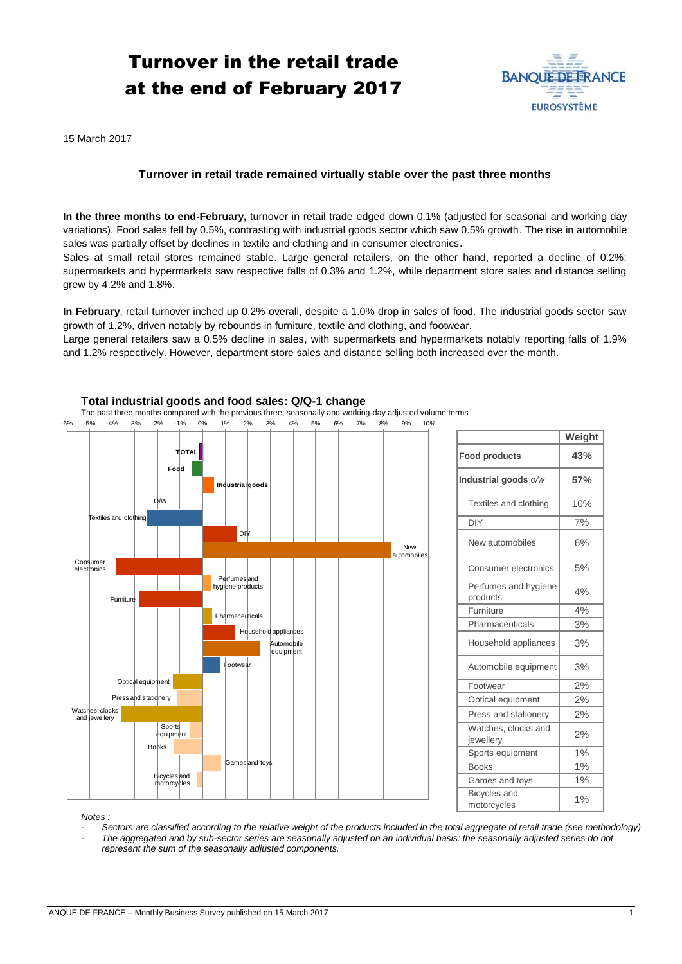# Turnover in the retail trade at the end of February 2017



15 March 2017

## **Turnover in retail trade remained virtually stable over the past three months**

**In the three months to end-February,** turnover in retail trade edged down 0.1% (adjusted for seasonal and working day variations). Food sales fell by 0.5%, contrasting with industrial goods sector which saw 0.5% growth. The rise in automobile sales was partially offset by declines in textile and clothing and in consumer electronics.

Sales at small retail stores remained stable. Large general retailers, on the other hand, reported a decline of 0.2%: supermarkets and hypermarkets saw respective falls of 0.3% and 1.2%, while department store sales and distance selling grew by 4.2% and 1.8%.

**In February**, retail turnover inched up 0.2% overall, despite a 1.0% drop in sales of food. The industrial goods sector saw growth of 1.2%, driven notably by rebounds in furniture, textile and clothing, and footwear.

Large general retailers saw a 0.5% decline in sales, with supermarkets and hypermarkets notably reporting falls of 1.9% and 1.2% respectively. However, department store sales and distance selling both increased over the month.



|                                    | Weight |
|------------------------------------|--------|
| <b>Food products</b>               | 43%    |
| Industrial goods o/w               | 57%    |
| Textiles and clothing              | 10%    |
| DIY                                | 7%     |
| New automobiles                    | 6%     |
| Consumer electronics               | 5%     |
| Perfumes and hygiene<br>products   | 4%     |
| Furniture                          | 4%     |
| Pharmaceuticals                    | 3%     |
| Household appliances               | 3%     |
| Automobile equipment               | 3%     |
| Footwear                           | 2%     |
| Optical equipment                  | 2%     |
| Press and stationery               | 2%     |
| Watches, clocks and<br>jewellery   | 2%     |
| Sports equipment                   | 1%     |
| <b>Books</b>                       | 1%     |
| Games and toys                     | 1%     |
| <b>Bicycles</b> and<br>motorcycles | 1%     |

*Notes :* 

- *- Sectors are classified according to the relative weight of the products included in the total aggregate of retail trade (see methodology)*
- *- The aggregated and by sub-sector series are seasonally adjusted on an individual basis: the seasonally adjusted series do not represent the sum of the seasonally adjusted components.*